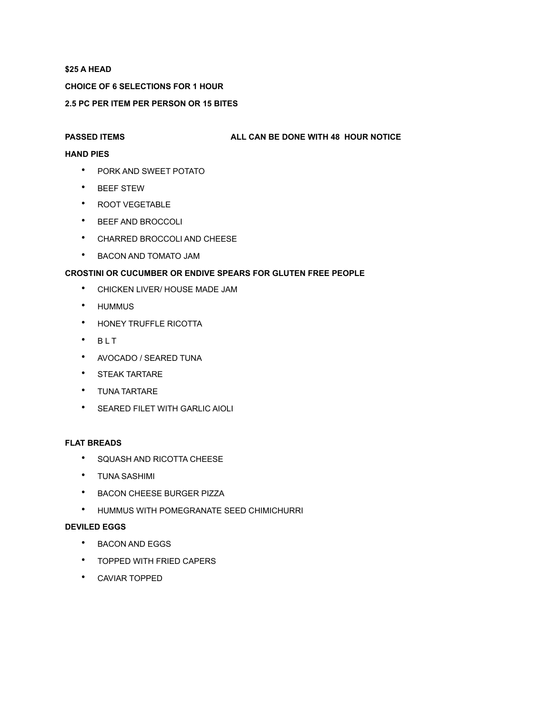## **\$25 A HEAD**

## **CHOICE OF 6 SELECTIONS FOR 1 HOUR**

## **2.5 PC PER ITEM PER PERSON OR 15 BITES**

#### **PASSED ITEMS ALL CAN BE DONE WITH 48 HOUR NOTICE**

## **HAND PIES**

- PORK AND SWEET POTATO
- BEEF STEW
- ROOT VEGETABLE
- BEEF AND BROCCOLI
- CHARRED BROCCOLI AND CHEESE
- BACON AND TOMATO JAM

# **CROSTINI OR CUCUMBER OR ENDIVE SPEARS FOR GLUTEN FREE PEOPLE**

- CHICKEN LIVER/ HOUSE MADE JAM
- HUMMUS
- HONEY TRUFFLE RICOTTA
- $·$  BLT
- AVOCADO / SEARED TUNA
- STEAK TARTARE
- TUNA TARTARE
- SEARED FILET WITH GARLIC AIOLI

## **FLAT BREADS**

- SQUASH AND RICOTTA CHEESE
- TUNA SASHIMI
- BACON CHEESE BURGER PIZZA
- HUMMUS WITH POMEGRANATE SEED CHIMICHURRI

## **DEVILED EGGS**

- BACON AND EGGS
- TOPPED WITH FRIED CAPERS
- CAVIAR TOPPED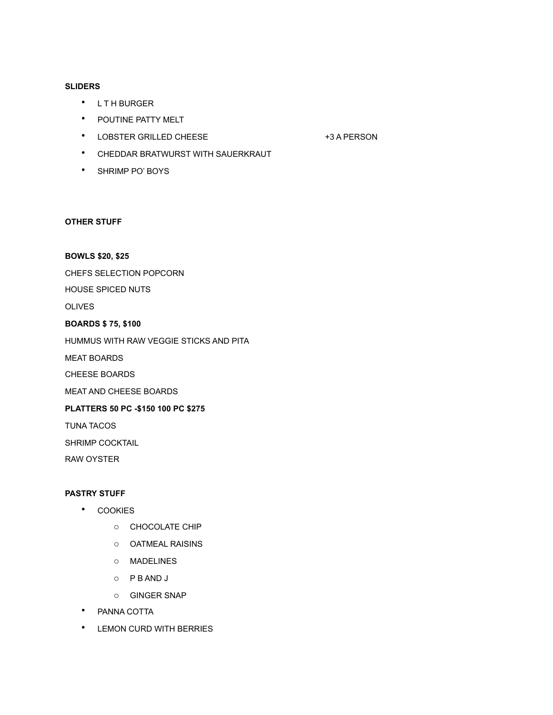#### **SLIDERS**

- L T H BURGER
- POUTINE PATTY MELT
- LOBSTER GRILLED CHEESE +3 A PERSON

- CHEDDAR BRATWURST WITH SAUERKRAUT
- SHRIMP PO' BOYS

#### **OTHER STUFF**

## **BOWLS \$20, \$25**

CHEFS SELECTION POPCORN

HOUSE SPICED NUTS

OLIVES

#### **BOARDS \$ 75, \$100**

HUMMUS WITH RAW VEGGIE STICKS AND PITA

MEAT BOARDS

CHEESE BOARDS

MEAT AND CHEESE BOARDS

# **PLATTERS 50 PC -\$150 100 PC \$275**

TUNA TACOS

SHRIMP COCKTAIL

RAW OYSTER

#### **PASTRY STUFF**

- COOKIES
	- o CHOCOLATE CHIP
	- o OATMEAL RAISINS
	- o MADELINES
	- o P B AND J
	- o GINGER SNAP
- PANNA COTTA
- LEMON CURD WITH BERRIES